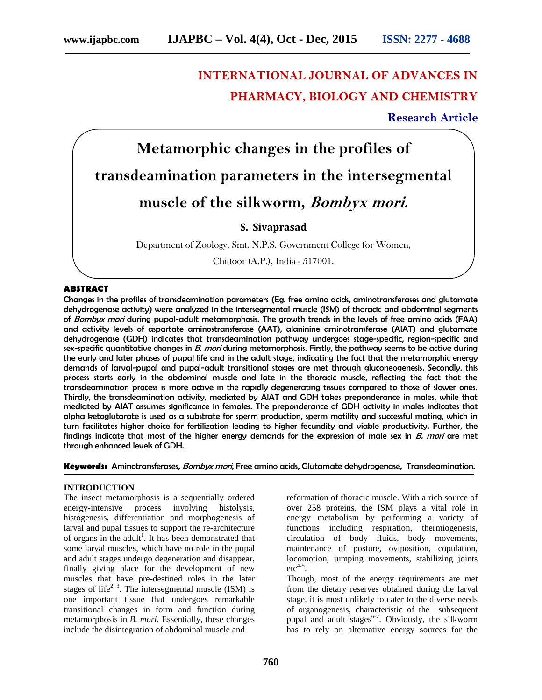# **INTERNATIONAL JOURNAL OF ADVANCES IN PHARMACY, BIOLOGY AND CHEMISTRY**

# **Research Article**



Chittoor (A.P.), India - 517001.

## **ABSTRACT**

Changes in the profiles of transdeamination parameters (Eg. free amino acids, aminotransferases and glutamate dehydrogenase activity) were analyzed in the intersegmental muscle (ISM) of thoracic and abdominal segments of *Bombyx mori* during pupal-adult metamorphosis. The growth trends in the levels of free amino acids (FAA) and activity levels of aspartate aminostransferase (AAT), alaninine aminotransferase (AlAT) and glutamate dehydrogenase (GDH) indicates that transdeamination pathway undergoes stage-specific, region-specific and sex-specific quantitative changes in *B. mori* during metamorphosis. Firstly, the pathway seems to be active during the early and later phases of pupal life and in the adult stage, indicating the fact that the metamorphic energy demands of larval-pupal and pupal-adult transitional stages are met through gluconeogenesis. Secondly, this process starts early in the abdominal muscle and late in the thoracic muscle, reflecting the fact that the transdeamination process is more active in the rapidly degenerating tissues compared to those of slower ones. Thirdly, the transdeamination activity, mediated by AlAT and GDH takes preponderance in males, while that mediated by AlAT assumes significance in females. The preponderance of GDH activity in males indicates that alpha ketoglutarate is used as a substrate for sperm production, sperm motility and successful mating, which in turn facilitates higher choice for fertilization leading to higher fecundity and viable productivity. Further, the findings indicate that most of the higher energy demands for the expression of male sex in *B. mori* are met through enhanced levels of GDH.

**Keywords:** Aminotransferases, *Bombyx mori*, Free amino acids, Glutamate dehydrogenase, Transdeamination.

#### **INTRODUCTION**

The insect metamorphosis is a sequentially ordered energy-intensive process involving histolysis, histogenesis, differentiation and morphogenesis of larval and pupal tissues to support the re-architecture of organs in the adult<sup>1</sup>. It has been demonstrated that some larval muscles, which have no role in the pupal and adult stages undergo degeneration and disappear, finally giving place for the development of new muscles that have pre-destined roles in the later stages of life<sup>2, 3</sup>. The intersegmental muscle (ISM) is one important tissue that undergoes remarkable transitional changes in form and function during metamorphosis in *B. mori*. Essentially, these changes include the disintegration of abdominal muscle and

reformation of thoracic muscle. With a rich source of over 258 proteins, the ISM plays a vital role in energy metabolism by performing a variety of functions including respiration, thermiogenesis, circulation of body fluids, body movements, maintenance of posture, oviposition, copulation, locomotion, jumping movements, stabilizing joints  $\text{etc}^{4-5}$ .

Though, most of the energy requirements are met from the dietary reserves obtained during the larval stage, it is most unlikely to cater to the diverse needs of organogenesis, characteristic of the subsequent pupal and adult stages<sup>6-7</sup>. Obviously, the silkworm has to rely on alternative energy sources for the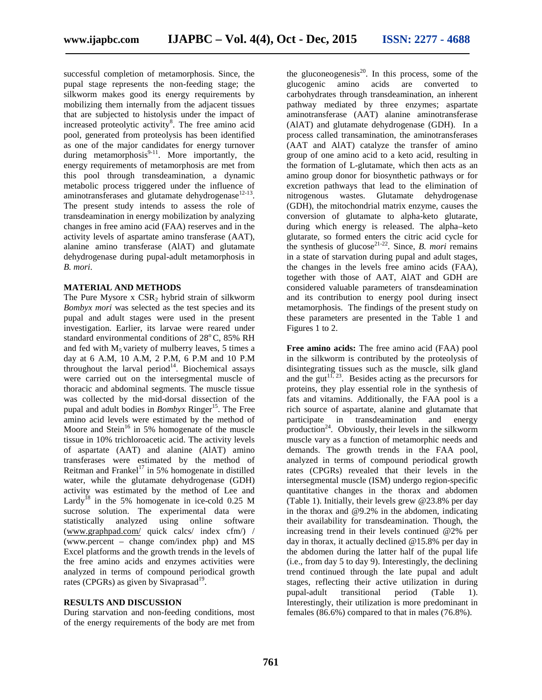successful completion of metamorphosis. Since, the pupal stage represents the non-feeding stage; the silkworm makes good its energy requirements by mobilizing them internally from the adjacent tissues that are subjected to histolysis under the impact of increased proteolytic activity<sup>8</sup>. The free amino acid pool, generated from proteolysis has been identified as one of the major candidates for energy turnover during metamorphosis<sup>9-11</sup>. More importantly, the energy requirements of metamorphosis are met from this pool through transdeamination, a dynamic metabolic process triggered under the influence of aminotransferases and glutamate dehydrogenase<sup>12-13</sup>. The present study intends to assess the role of transdeamination in energy mobilization by analyzing changes in free amino acid (FAA) reserves and in the activity levels of aspartate amino transferase (AAT), alanine amino transferase (AlAT) and glutamate dehydrogenase during pupal-adult metamorphosis in *B. mori*.

#### **MATERIAL AND METHODS**

The Pure Mysore  $x$  CSR<sub>2</sub> hybrid strain of silkworm *Bombyx mori* was selected as the test species and its pupal and adult stages were used in the present investigation. Earlier, its larvae were reared under standard environmental conditions of  $28^{\circ}$ C,  $85\%$  RH and fed with  $M_5$  variety of mulberry leaves, 5 times a day at 6 A.M, 10 A.M, 2 P.M, 6 P.M and 10 P.M throughout the larval period $14$ . Biochemical assays were carried out on the intersegmental muscle of thoracic and abdominal segments. The muscle tissue was collected by the mid-dorsal dissection of the pupal and adult bodies in *Bombyx* Ringer<sup>15</sup>. The Free amino acid levels were estimated by the method of Moore and Stein<sup>16</sup> in 5% homogenate of the muscle tissue in 10% trichloroacetic acid. The activity levels of aspartate (AAT) and alanine (AlAT) amino transferases were estimated by the method of Reitman and Frankel<sup>17</sup> in 5% homogenate in distilled water, while the glutamate dehydrogenase (GDH) activity was estimated by the method of Lee and Lardy<sup>18</sup> in the 5% homogenate in ice-cold 0.25 M sucrose solution. The experimental data were statistically analyzed using online software (www.graphpad.com/ quick calcs/ index cfm/) / (www.percent – change com/index php) and MS Excel platforms and the growth trends in the levels of the free amino acids and enzymes activities were analyzed in terms of compound periodical growth rates (CPGRs) as given by Sivaprasad<sup>19</sup>.

#### **RESULTS AND DISCUSSION**

During starvation and non-feeding conditions, most of the energy requirements of the body are met from

the gluconeogenesis<sup>20</sup>. In this process, some of the glucogenic amino acids are converted to carbohydrates through transdeamination, an inherent pathway mediated by three enzymes; aspartate aminotransferase (AAT) alanine aminotransferase (AlAT) and glutamate dehydrogenase (GDH). In a process called transamination, the aminotransferases (AAT and AlAT) catalyze the transfer of amino group of one amino acid to a keto acid, resulting in the formation of L-glutamate, which then acts as an amino group donor for biosynthetic pathways or for excretion pathways that lead to the elimination of nitrogenous wastes. Glutamate dehydrogenase (GDH), the mitochondrial matrix enzyme, causes the conversion of glutamate to alpha-keto glutarate, during which energy is released. The alpha–keto glutarate, so formed enters the citric acid cycle for the synthesis of glucose<sup>21-22</sup>. Since, *B. mori* remains in a state of starvation during pupal and adult stages, the changes in the levels free amino acids (FAA), together with those of AAT, AlAT and GDH are considered valuable parameters of transdeamination and its contribution to energy pool during insect metamorphosis. The findings of the present study on these parameters are presented in the Table 1 and Figures 1 to 2.

**Free amino acids:** The free amino acid (FAA) pool in the silkworm is contributed by the proteolysis of disintegrating tissues such as the muscle, silk gland and the gut<sup>11, 23</sup>. Besides acting as the precursors for proteins, they play essential role in the synthesis of fats and vitamins. Additionally, the FAA pool is a rich source of aspartate, alanine and glutamate that participate in transdeamination and energy production<sup>24</sup>. Obviously, their levels in the silkworm muscle vary as a function of metamorphic needs and demands. The growth trends in the FAA pool, analyzed in terms of compound periodical growth rates (CPGRs) revealed that their levels in the intersegmental muscle (ISM) undergo region-specific quantitative changes in the thorax and abdomen (Table 1). Initially, their levels grew @23.8% per day in the thorax and @9.2% in the abdomen, indicating their availability for transdeamination. Though, the increasing trend in their levels continued @2% per day in thorax, it actually declined @15.8% per day in the abdomen during the latter half of the pupal life (i.e., from day 5 to day 9). Interestingly, the declining trend continued through the late pupal and adult stages, reflecting their active utilization in during pupal-adult transitional period (Table 1). Interestingly, their utilization is more predominant in females (86.6%) compared to that in males (76.8%).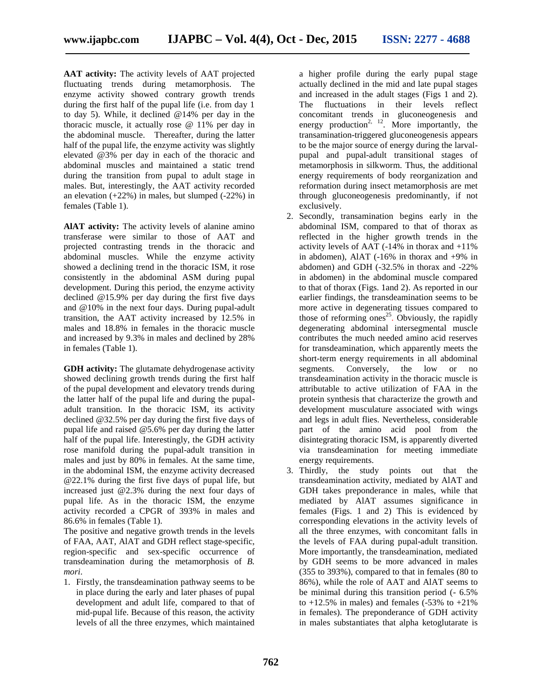**AAT activity:** The activity levels of AAT projected fluctuating trends during metamorphosis. The enzyme activity showed contrary growth trends during the first half of the pupal life (i.e. from day 1 to day 5). While, it declined @14% per day in the thoracic muscle, it actually rose @ 11% per day in the abdominal muscle. Thereafter, during the latter half of the pupal life, the enzyme activity was slightly elevated @3% per day in each of the thoracic and abdominal muscles and maintained a static trend during the transition from pupal to adult stage in males. But, interestingly, the AAT activity recorded an elevation  $(+22%)$  in males, but slumped  $(-22%)$  in females (Table 1).

**AlAT activity:** The activity levels of alanine amino transferase were similar to those of AAT and projected contrasting trends in the thoracic and abdominal muscles. While the enzyme activity showed a declining trend in the thoracic ISM, it rose consistently in the abdominal ASM during pupal development. During this period, the enzyme activity declined @15.9% per day during the first five days and @10% in the next four days. During pupal-adult transition, the AAT activity increased by 12.5% in males and 18.8% in females in the thoracic muscle and increased by 9.3% in males and declined by 28% in females (Table 1).

**GDH activity:** The glutamate dehydrogenase activity showed declining growth trends during the first half of the pupal development and elevatory trends during the latter half of the pupal life and during the pupal adult transition. In the thoracic ISM, its activity declined @32.5% per day during the first five days of pupal life and raised @5.6% per day during the latter half of the pupal life. Interestingly, the GDH activity rose manifold during the pupal-adult transition in males and just by 80% in females. At the same time, in the abdominal ISM, the enzyme activity decreased @22.1% during the first five days of pupal life, but increased just @2.3% during the next four days of pupal life. As in the thoracic ISM, the enzyme activity recorded a CPGR of 393% in males and 86.6% in females (Table 1).

The positive and negative growth trends in the levels of FAA, AAT, AlAT and GDH reflect stage-specific, region-specific and sex-specific occurrence of transdeamination during the metamorphosis of *B. mori*.

1. Firstly, the transdeamination pathway seems to be in place during the early and later phases of pupal development and adult life, compared to that of mid-pupal life. Because of this reason, the activity levels of all the three enzymes, which maintained

a higher profile during the early pupal stage actually declined in the mid and late pupal stages and increased in the adult stages (Figs 1 and 2). The fluctuations in their levels reflect concomitant trends in gluconeogenesis and energy production<sup>2, 12</sup>. More importantly, the transamination-triggered gluconeogenesis appears to be the major source of energy during the larval pupal and pupal-adult transitional stages of metamorphosis in silkworm. Thus, the additional energy requirements of body reorganization and reformation during insect metamorphosis are met through gluconeogenesis predominantly, if not exclusively.

- 2. Secondly, transamination begins early in the abdominal ISM, compared to that of thorax as reflected in the higher growth trends in the activity levels of AAT (-14% in thorax and +11% in abdomen), AlAT (-16% in thorax and +9% in abdomen) and GDH (-32.5% in thorax and -22% in abdomen) in the abdominal muscle compared to that of thorax (Figs. 1and 2). As reported in our earlier findings, the transdeamination seems to be more active in degenerating tissues compared to those of reforming ones<sup>25</sup>. Obviously, the rapidly degenerating abdominal intersegmental muscle contributes the much needed amino acid reserves for transdeamination, which apparently meets the short-term energy requirements in all abdominal segments. Conversely, the low or no transdeamination activity in the thoracic muscle is attributable to active utilization of FAA in the protein synthesis that characterize the growth and development musculature associated with wings and legs in adult flies. Nevertheless, considerable part of the amino acid pool from the disintegrating thoracic ISM, is apparently diverted via transdeamination for meeting immediate energy requirements.
- 3. Thirdly, the study points out that the transdeamination activity, mediated by AlAT and GDH takes preponderance in males, while that mediated by AlAT assumes significance in females (Figs. 1 and 2) This is evidenced by corresponding elevations in the activity levels of all the three enzymes, with concomitant falls in the levels of FAA during pupal-adult transition. More importantly, the transdeamination, mediated by GDH seems to be more advanced in males (355 to 393%), compared to that in females (80 to 86%), while the role of AAT and AlAT seems to be minimal during this transition period (- 6.5% to  $+12.5\%$  in males) and females (-53% to  $+21\%$ in females). The preponderance of GDH activity in males substantiates that alpha ketoglutarate is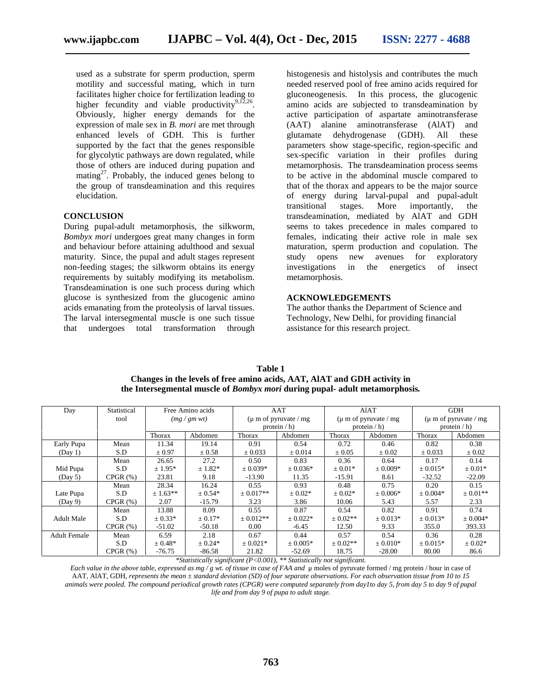used as a substrate for sperm production, sperm motility and successful mating, which in turn facilitates higher choice for fertilization leading to higher fecundity and viable productivity<sup>9,12,26</sup>. Obviously, higher energy demands for the expression of male sex in *B. mori* are met through enhanced levels of GDH. This is further supported by the fact that the genes responsible for glycolytic pathways are down regulated, while those of others are induced during pupation and mating<sup>27</sup>. Probably, the induced genes belong to the group of transdeamination and this requires elucidation.

#### **CONCLUSION**

During pupal-adult metamorphosis, the silkworm, *Bombyx mori* undergoes great many changes in form and behaviour before attaining adulthood and sexual maturity. Since, the pupal and adult stages represent non-feeding stages; the silkworm obtains its energy requirements by suitably modifying its metabolism. Transdeamination is one such process during which glucose is synthesized from the glucogenic amino acids emanating from the proteolysis of larval tissues. The larval intersegmental muscle is one such tissue that undergoes total transformation through

histogenesis and histolysis and contributes the much needed reserved pool of free amino acids required for gluconeogenesis. In this process, the glucogenic amino acids are subjected to transdeamination by active participation of aspartate aminotransferase (AAT) alanine aminotransferase (AlAT) and glutamate dehydrogenase (GDH). All these parameters show stage-specific, region-specific and sex-specific variation in their profiles during metamorphosis. The transdeamination process seems to be active in the abdominal muscle compared to that of the thorax and appears to be the major source of energy during larval-pupal and pupal-adult transitional stages. More importantly, the transdeamination, mediated by AlAT and GDH seems to takes precedence in males compared to females, indicating their active role in male sex maturation, sperm production and copulation. The study opens new avenues for exploratory investigations in the energetics of insect metamorphosis.

# **ACKNOWLEDGEMENTS**

The author thanks the Department of Science and Technology, New Delhi, for providing financial assistance for this research project.

| Day                 | Statistical | Free Amino acids<br>(mg/gmwt) |             | AAT<br>$(\mu \text{ m of pyruvate} / \text{mg})$<br>protein $/h$ ) |              | AlAT<br>$(\mu \text{ m of pyruvate} / \text{mg})$<br>protein $/h$ ) |              | <b>GDH</b><br>$(\mu m)$ of pyruvate / mg<br>protein $/h$ ) |               |
|---------------------|-------------|-------------------------------|-------------|--------------------------------------------------------------------|--------------|---------------------------------------------------------------------|--------------|------------------------------------------------------------|---------------|
|                     | tool        |                               |             |                                                                    |              |                                                                     |              |                                                            |               |
|                     |             |                               |             |                                                                    |              |                                                                     |              |                                                            |               |
|                     |             | Thorax                        | Abdomen     | <b>Thorax</b>                                                      | Abdomen      | Thorax                                                              | Abdomen      | Thorax                                                     | Abdomen       |
| Early Pupa          | Mean        | 11.34                         | 19.14       | 0.91                                                               | 0.54         | 0.72                                                                | 0.46         | 0.82                                                       | 0.38          |
| (Day 1)             | S.D         | $\pm 0.97$                    | $\pm 0.58$  | $\pm 0.033$                                                        | ± 0.014      | $\pm 0.05$                                                          | $\pm 0.02$   | $\pm 0.033$                                                | $\pm 0.02$    |
|                     | Mean        | 26.65                         | 27.2        | 0.50                                                               | 0.83         | 0.36                                                                | 0.64         | 0.17                                                       | 0.14          |
| Mid Pupa            | S.D         | $± 1.95*$                     | $± 1.82*$   | $\pm 0.039*$                                                       | $\pm 0.036*$ | $\pm 0.01*$                                                         | $\pm 0.009*$ | $\pm 0.015*$                                               | $\pm 0.01*$   |
| (Day 5)             | CPGR(%)     | 23.81                         | 9.18        | $-13.90$                                                           | 11.35        | $-15.91$                                                            | 8.61         | $-32.52$                                                   | $-22.09$      |
|                     | Mean        | 28.34                         | 16.24       | 0.55                                                               | 0.93         | 0.48                                                                | 0.75         | 0.20                                                       | 0.15          |
| Late Pupa           | S.D         | $\pm 1.63$ **                 | $± 0.54*$   | $\pm 0.017**$                                                      | $\pm 0.02*$  | $\pm 0.02*$                                                         | $\pm 0.006*$ | $\pm 0.004*$                                               | $\pm 0.01$ ** |
| (Day 9)             | CPGR(%)     | 2.07                          | $-15.79$    | 3.23                                                               | 3.86         | 10.06                                                               | 5.43         | 5.57                                                       | 2.33          |
|                     | Mean        | 13.88                         | 8.09        | 0.55                                                               | 0.87         | 0.54                                                                | 0.82         | 0.91                                                       | 0.74          |
| <b>Adult Male</b>   | S.D         | $\pm 0.33*$                   | $\pm 0.17*$ | $\pm 0.012**$                                                      | $\pm 0.022*$ | $\pm 0.02$ **                                                       | $\pm 0.013*$ | $\pm 0.013*$                                               | $\pm 0.004*$  |
|                     | CPGR(%)     | $-51.02$                      | $-50.18$    | 0.00                                                               | $-6.45$      | 12.50                                                               | 9.33         | 355.0                                                      | 393.33        |
| <b>Adult Female</b> | Mean        | 6.59                          | 2.18        | 0.67                                                               | 0.44         | 0.57                                                                | 0.54         | 0.36                                                       | 0.28          |
|                     | S.D         | $\pm 0.48*$                   | $\pm 0.24*$ | $+0.021*$                                                          | $\pm 0.005*$ | $\pm 0.02$ **                                                       | $\pm 0.010*$ | $\pm 0.015*$                                               | $\pm 0.02*$   |
|                     | CPGR(%)     | $-76.75$                      | $-86.58$    | 21.82                                                              | $-52.69$     | 18.75                                                               | $-28.00$     | 80.00                                                      | 86.6          |

**Table 1 Changes in the levels of free amino acids, AAT, AlAT and GDH activity in the Intersegmental muscle of** *Bombyx mori* **during pupal- adult metamorphosis***.*

*\*Statistically significant (P<0.001), \*\* Statistically not significant.*

*Each value in the above table, expressed as mg / g wt. of tissue in case of FAA and* μ moles of pyruvate formed / mg protein / hour in case of AAT, AlAT, GDH, *represents the mean ± standard deviation (SD) of four separate observations. For each observation tissue from 10 to 15 animals were pooled. The compound periodical growth rates (CPGR) were computed separately from day1to day 5, from day 5 to day 9 of pupal life and from day 9 of pupa to adult stage.*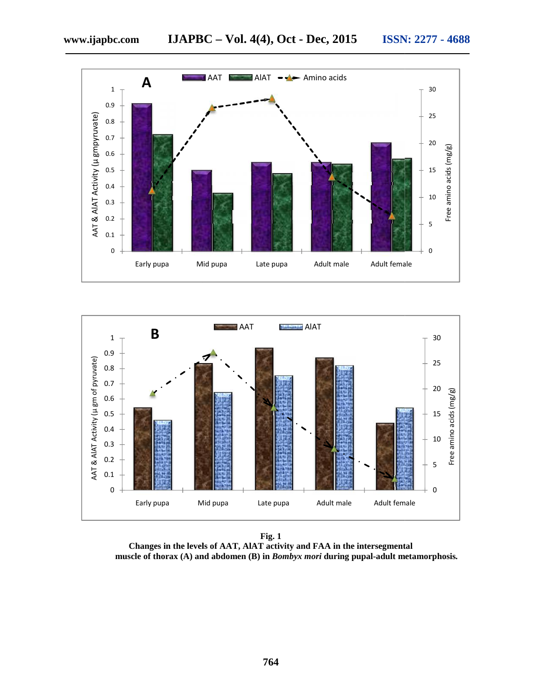



**Fig. 1 Changes in the levels of AAT, AlAT activity and FAA in the intersegmental muscle of thorax (A) and abdomen (B) in** *Bombyx mori* **during pupal-adult metamorphosis***.*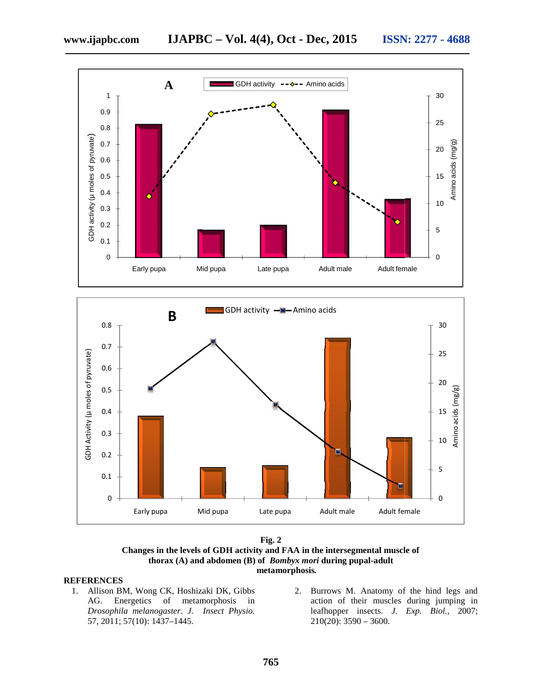





### **REFERENCES**

- 1. Allison BM, Wong CK, Hoshizaki DK, Gibbs AG. Energetics of metamorphosis in *Drosophila melanogaster*. *J. Insect Physio.* 57, 2011; 57(10): 1437–1445.
	- CK, Hoshizaki DK, Gibbs 2. Burrows M. Anatomy of the hind legs and of metamorphosis in action of their muscles during jumping in action of their muscles during jumping in leafhopper insects. *J. Exp. Biol.,* 2007; 210(20): 3590 – 3600.